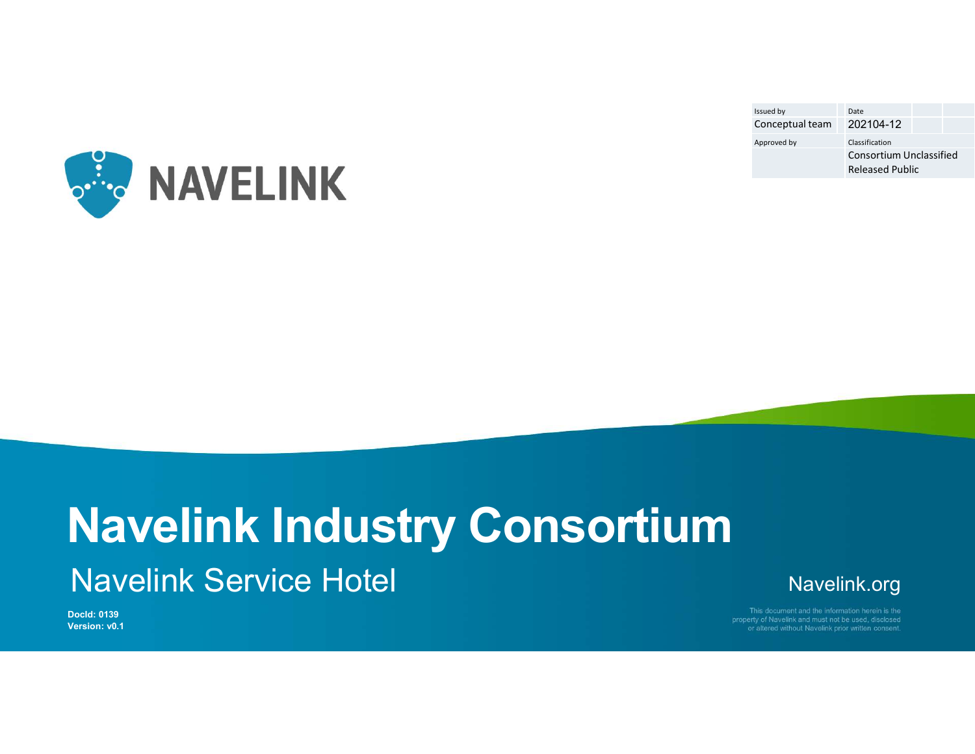| Issued by<br>Conceptual team | Date<br>202104-12                                 |  |
|------------------------------|---------------------------------------------------|--|
| Approved by                  | Classification                                    |  |
|                              | Consortium Unclassified<br><b>Released Public</b> |  |
|                              |                                                   |  |
|                              |                                                   |  |
|                              |                                                   |  |



# Navelink Industry Consortium Navelink Service Hotel

Navelink.org

DocId: 0139 Version: v0.1 or altered without Navelink prior written consent.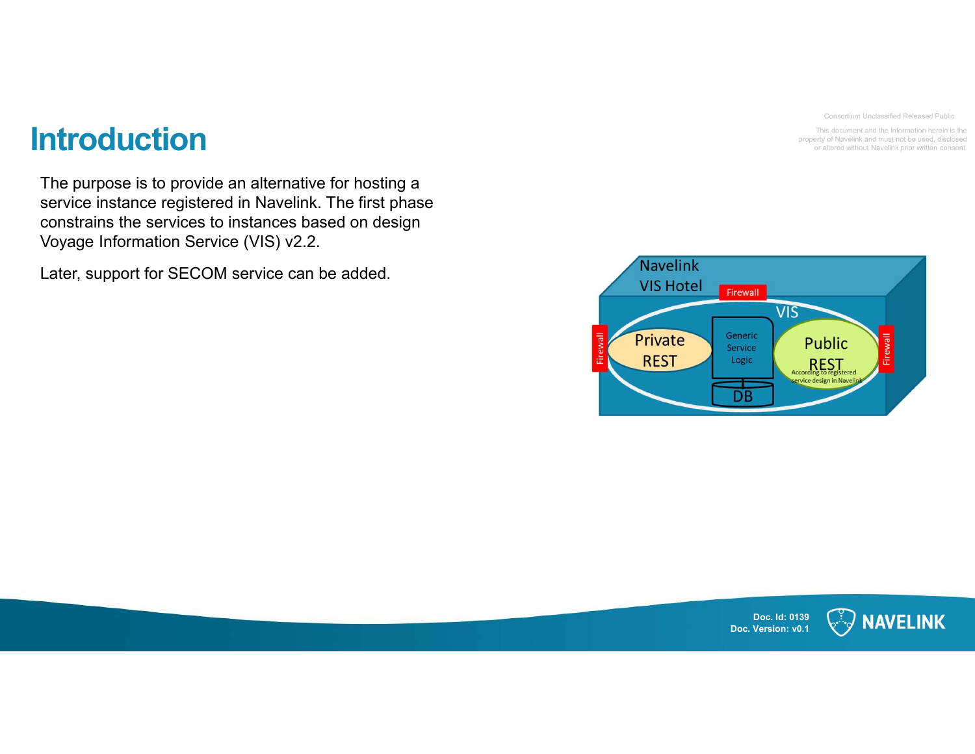Consortium Unclassified Released Public

This document and the information herein is the property of Navelink and must not be used, disclosed or altered without Navelink prior written consent.

# **Introduction**

The purpose is to provide an alternative for hosting a ntroduction<br>The purpose is to provide an alternative for hosting a<br>service instance registered in Navelink. The first phase<br>constrains the services to instances based on design<br>Voyage Information Service (VIS) v2.2.<br>Later, constrains the services to instances based on design Voyage Information Service (VIS) v2.2.

Later, support for SECOM service can be added.



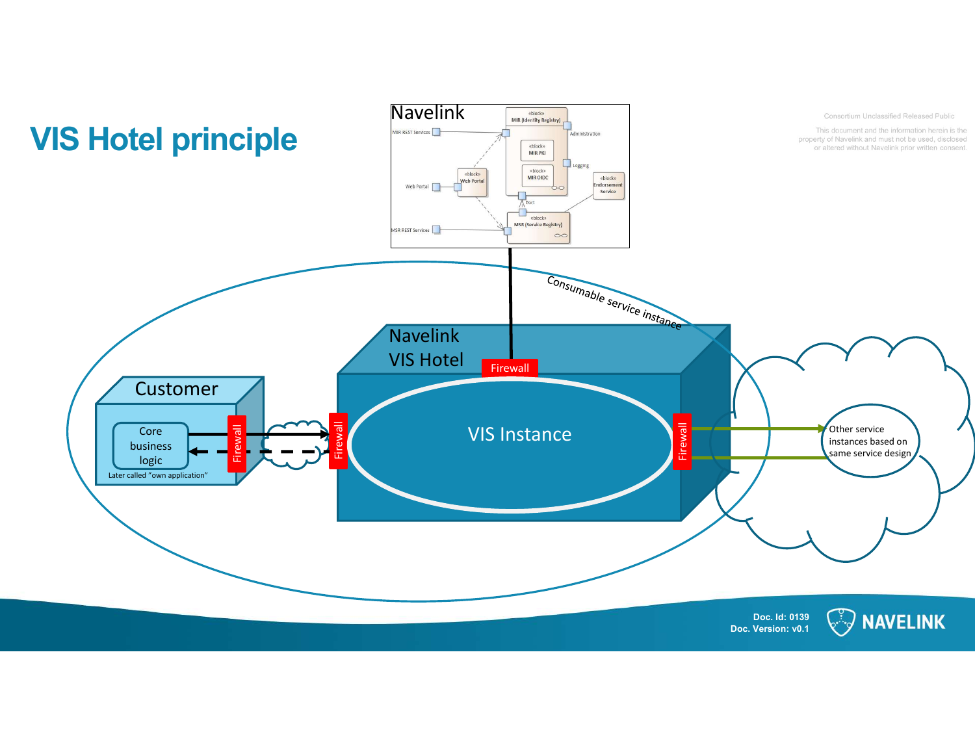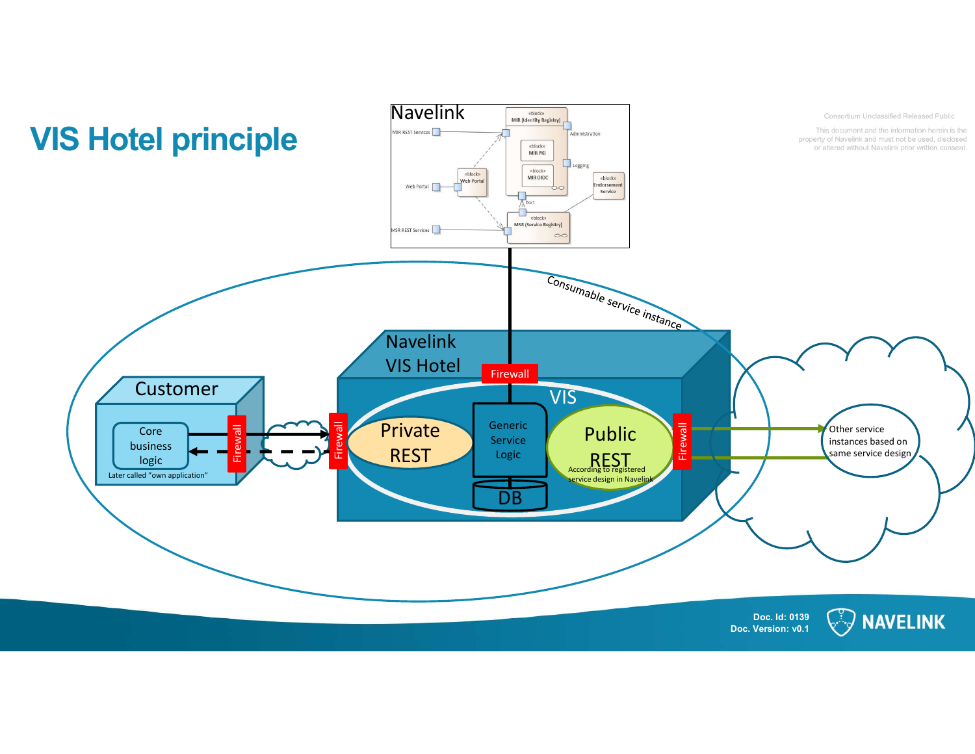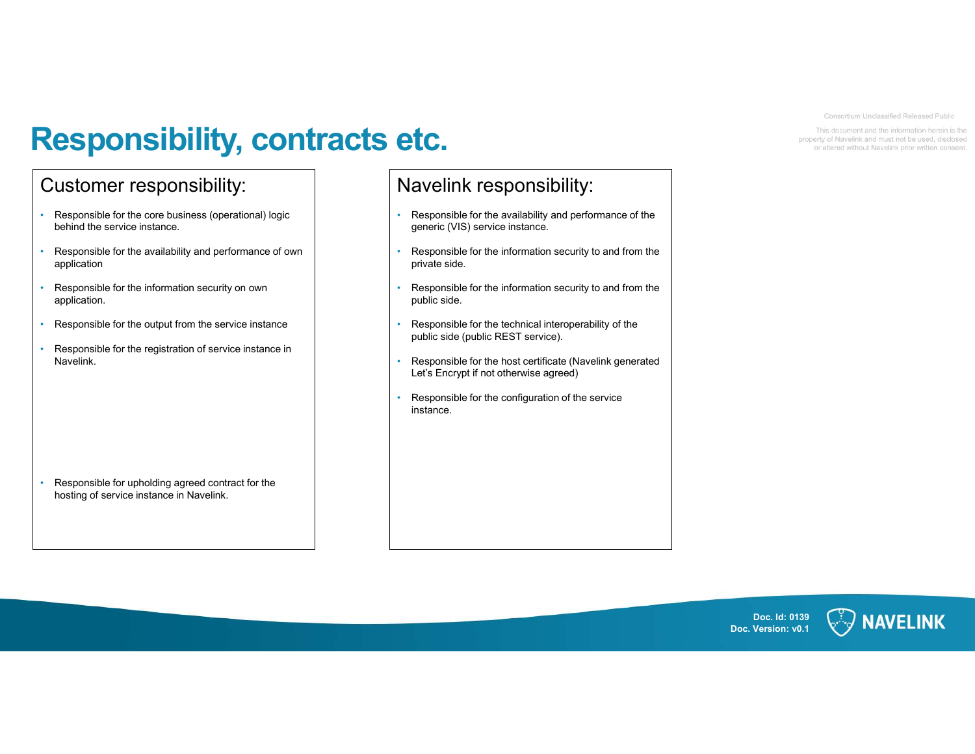# Responsibility, contracts etc.<br>
Customer responsibility:<br>
Responsible for the core business (operational) logic<br>
Responsible for the availability and performance of the **Responsible for the core business (operational) logic<br>
Customer responsibility:**<br>
Pesponsible for the core business (operational) logic<br>
Pesponsible for the availability and performance of own<br>
Pesponsible for the informa **Responsible for the complete instance.**<br>
Presponsible for the availability and performance of own<br> **Exapsonsible for the availability and performance of own**<br> **Exapsonsible for the availability and performance of own**<br> **E Examples to the information security and performance of our CES CONSUMIST CONSUMIST CONSUMIST CONSUMIST CONSUMIST CONSUMIST CONSUMIST CONSUMIST CONSUMIST CONSUMIST CONSUMIST CONSUMIST CONSUMIST CONSUMIST CONSUMIST CONSUMI Example 16 Sponsible for the core business** (operational) logic<br>
Customer responsibility:<br>
Responsible for the core business (operational) logic<br>
Responsible for the availability and performance of own<br>
Responsible for th **Example for the constrained and the registration of service instance in the responsible for the registration of service instance in the registration of service instance of the registration of service instance of the regis**

- 
- application **Example of the contract for the contract for the state of the contract for the state of the state of the state of the state of the state of the state of the state of the state of the state of the information security** USTOMET TESPONSIDIIITY:<br>
Navelink the service instance.<br>
Responsible for the availability and performance of own<br>
Responsible for the availability and performance of own<br>
application<br>
Application<br>
Responsible for the infor
- application.
- 
- Navelink.

#### Navelink responsibility:

- 
- Responsible for the availability and performance of the<br> **EXECTION CONSIDISTS**<br>
 Responsible for the availability and performance of the<br> **PERFOLUSE SERVING A SERVING A PERFOLUSE AND A SERVING A PERFORMANCE AND A SERVIN** generic (VIS) service instance.<br> **Navelink responsiblity:**<br> **Navelink responsiblity:**<br> **Proposition for the information security to and from the**<br> **Proposition of the information security to and from the**<br> **Proposition for** private side. **exponsible for the availability:**<br> **Rayland School and School Consideration security to and from the spencial consideration security to any from the property of the set of the information security to and from the property**
- public side.
- 
- **exponsible for the availability and performance of the space of the space of the space of the space of the space of the space of the space of the space of the space of the space of the space of the space of the space of t** Consolider Control in the Control of the Control of the Control of the Control of the Control of the Control of the Control of the Control of the Control of the Control of the Control of the Control of the Control of the C Let  $\overline{\text{C}}$ <br>  $\overline{\text{P}}$ <br>  $\overline{\text{Covolution}}$  and  $\overline{\text{Cov}}$  and  $\overline{\text{Cov}}$  and  $\overline{\text{Cov}}$  and  $\overline{\text{Cov}}$  and  $\overline{\text{Cov}}$  and  $\overline{\text{Cov}}$  and  $\overline{\text{Cov}}$  and  $\overline{\text{Cov}}$  and  $\overline{\text{Cov}}$  and  $\overline{\text{Cov}}$  and  $\overline{\text{Cov}}$  and
- instance.



## Doc. Id: 0139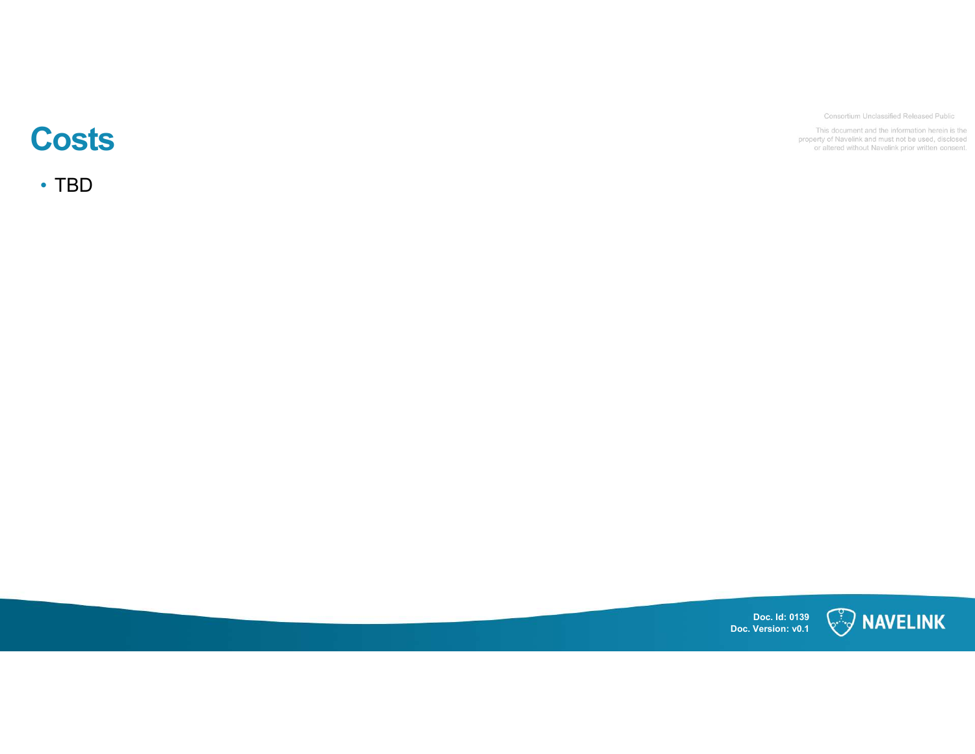#### Consortium Unclassified Released Public

#### This document and the information herein is the property of Navelink and must not be used, disclosed<br>or altered without Navelink prior written consent.

# **Costs**

• TBD

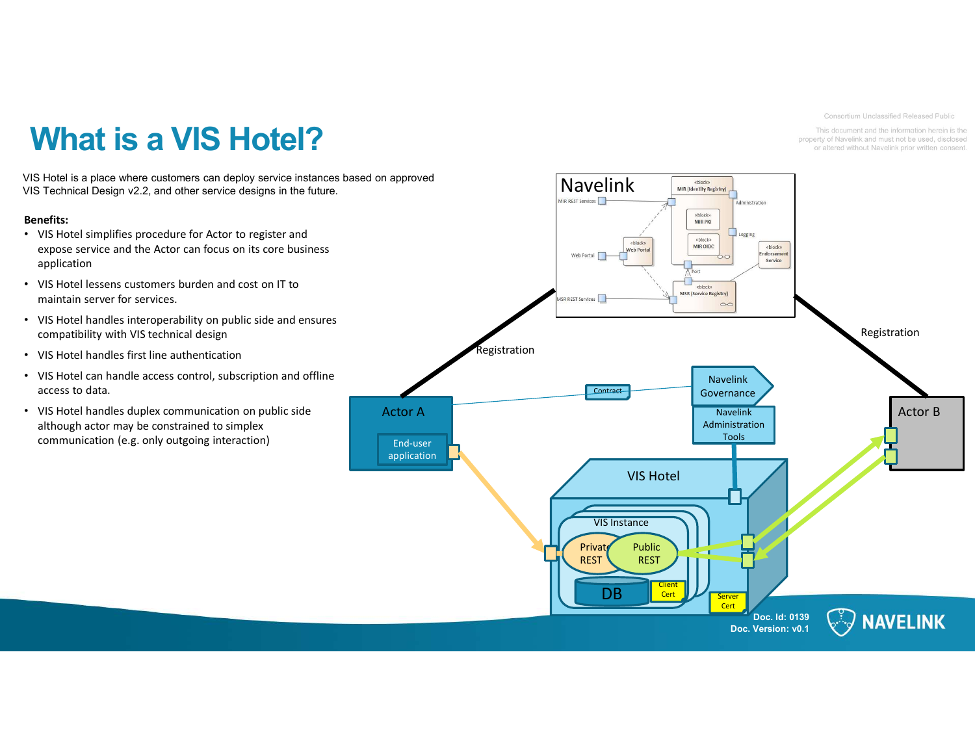Doc. Id: 0139 Doc. Version: v0.1 What is a VIS Hotel?<br>IS Hotel is a place where customers can deploy service instances based on approved<br>IS Technical Design v2.2, and other service designs in the future. What is a visible and the Actor can deploy service instances based on approved<br>VIS Technical Design v2.2, and other service designs in the future.<br>
This hotel simplifies procedure for Actor to register and<br>
expose service VIS Hotel is a place where customers can deploy service instances based on approved<br>VIS Technical Design v2.2, and other service designs in the future.<br>
VIS Hotel simplifies procedure for Actor to register and<br>
explication VIS Hotel Mavelink **Manufacture** Charles Mike *Mike (Identity Registry)* Explicit the contract of the contract of the contract of the contract of the contract of the contract of the contract of the contract of the contract of the contract of the contract of the contract of the contract of the c DB Cert Dener Server Private Public | Private | V REST REST  $\left\{\begin{array}{ccc} 1 & 1 \\ 1 & 1 \end{array}\right\}$ REST  $\bigcup_{i=1}^n$  and  $\bigcup_{i=1}^n$  and  $\bigcup_{i=1}^n$  and  $\bigcup_{i=1}^n$  and  $\bigcup_{i=1}^n$  and  $\bigcup_{i=1}^n$  and  $\bigcup_{i=1}^n$  and  $\bigcup_{i=1}^n$  and  $\bigcup_{i=1}^n$  and  $\bigcup_{i=1}^n$  and  $\bigcup_{i=1}^n$  and  $\bigcup_{i=1}^n$  and  $\bigcup_{i=1}^n$ VIS Instance Navelink Administration Tools Registration Registration End-user application Client Cert Server Cert Navelink Contract Governance Benefits: • VIS Hotel simplifies procedure for Actor to register and expose service and the Actor can focus on its core business application • VIS Hotel lessens customers burden and cost on IT to maintain server for services. • VIS Hotel handles interoperability on public side and ensures compatibility with VIS technical design • VIS Hotel handles first line authentication • VIS Hotel can handle access control, subscription and offline access to data. • VIS Hotel handles duplex communication on public side Actor A although actor may be constrained to simplex communication (e.g. only outgoing interaction)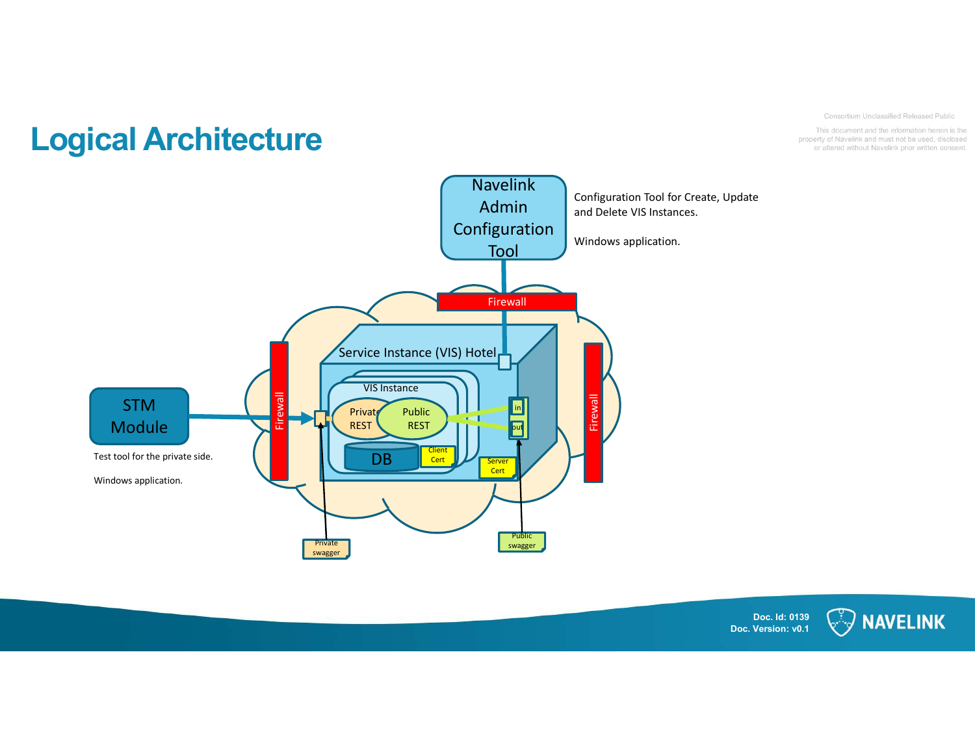



### Doc. Id: 0139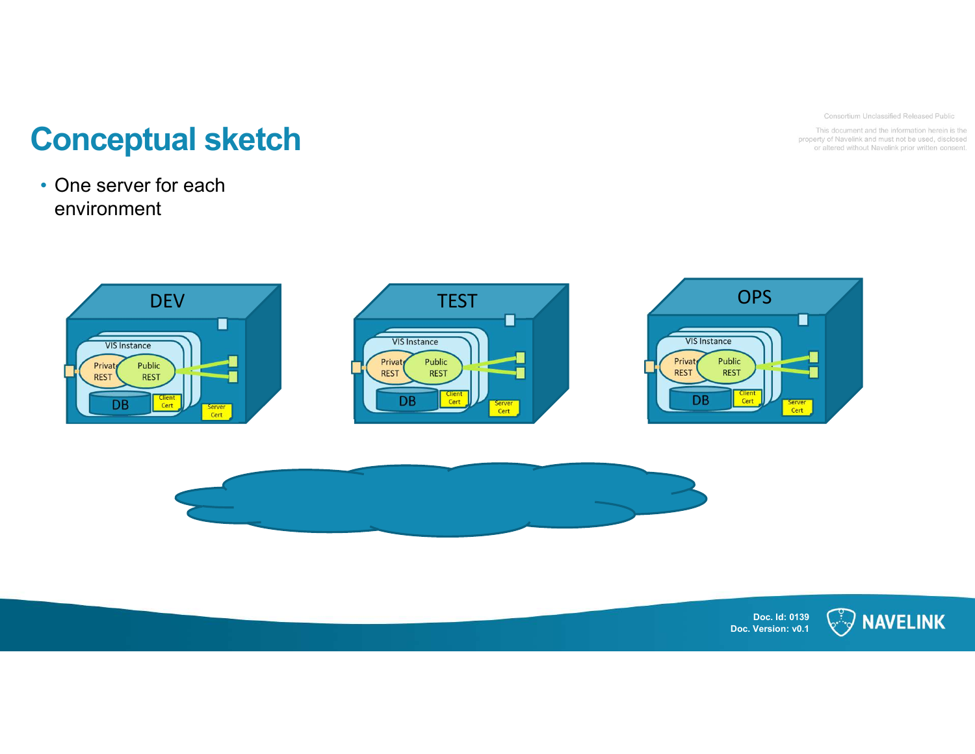Consortium Unclassified Released Public

This document and the information herein is the property of Navelink and must not be used, disclosed or altered without Navelink prior written consent.

# **Conceptual sketch<br>
.** One server for each<br>
environment **Conceptual sketch**<br>• One server for each<br>• environment

# environment